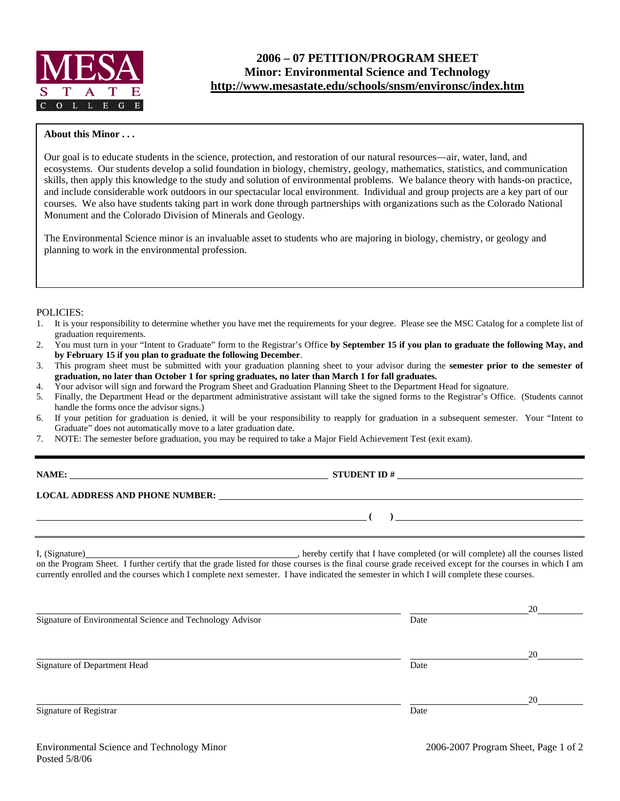

# **2006 – 07 PETITION/PROGRAM SHEET Minor: Environmental Science and Technology http://www.mesastate.edu/schools/snsm/environsc/index.htm**

### **About this Minor . . .**

Our goal is to educate students in the science, protection, and restoration of our natural resources—air, water, land, and ecosystems. Our students develop a solid foundation in biology, chemistry, geology, mathematics, statistics, and communication skills, then apply this knowledge to the study and solution of environmental problems. We balance theory with hands-on practice, and include considerable work outdoors in our spectacular local environment. Individual and group projects are a key part of our courses. We also have students taking part in work done through partnerships with organizations such as the Colorado National Monument and the Colorado Division of Minerals and Geology.

The Environmental Science minor is an invaluable asset to students who are majoring in biology, chemistry, or geology and planning to work in the environmental profession.

#### POLICIES:

- 1. It is your responsibility to determine whether you have met the requirements for your degree. Please see the MSC Catalog for a complete list of graduation requirements.
- 2. You must turn in your "Intent to Graduate" form to the Registrar's Office **by September 15 if you plan to graduate the following May, and by February 15 if you plan to graduate the following December**.
- 3. This program sheet must be submitted with your graduation planning sheet to your advisor during the **semester prior to the semester of graduation, no later than October 1 for spring graduates, no later than March 1 for fall graduates.**
- 4. Your advisor will sign and forward the Program Sheet and Graduation Planning Sheet to the Department Head for signature.
- 5. Finally, the Department Head or the department administrative assistant will take the signed forms to the Registrar's Office. (Students cannot handle the forms once the advisor signs.)
- 6. If your petition for graduation is denied, it will be your responsibility to reapply for graduation in a subsequent semester. Your "Intent to Graduate" does not automatically move to a later graduation date.
- 7. NOTE: The semester before graduation, you may be required to take a Major Field Achievement Test (exit exam).

**STUDENT ID #** 

#### **LOCAL ADDRESS AND PHONE NUMBER:**

I, (Signature) , hereby certify that I have completed (or will complete) all the courses listed on the Program Sheet. I further certify that the grade listed for those courses is the final course grade received except for the courses in which I am currently enrolled and the courses which I complete next semester. I have indicated the semester in which I will complete these courses.

|                                                           |      | 20 |  |
|-----------------------------------------------------------|------|----|--|
| Signature of Environmental Science and Technology Advisor | Date |    |  |
|                                                           |      |    |  |
|                                                           |      | 20 |  |
| Signature of Department Head                              | Date |    |  |
|                                                           |      |    |  |
|                                                           |      | 20 |  |
| Signature of Registrar                                    | Date |    |  |
|                                                           |      |    |  |

 **( )**